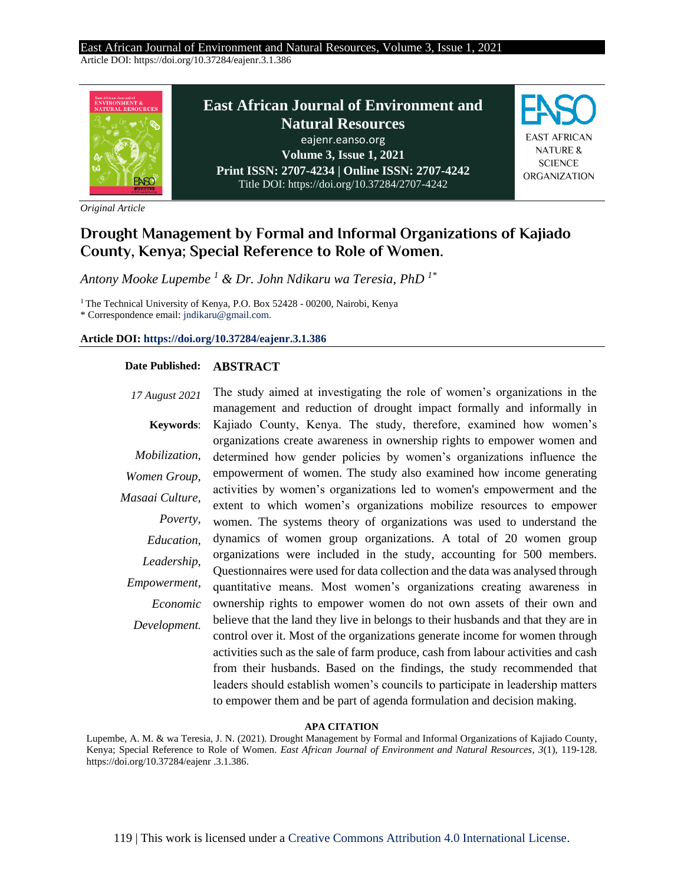#### East African Journal of Environment and Natural Resources, Volume 3, Issue 1, 2021 Article DOI: https://doi.org/10.37284/eajenr.3.1.386



*Original Article*

# **Drought Management by Formal and Informal Organizations of Kajiado County, Kenya; Special Reference to Role of Women.**

*Antony Mooke Lupembe <sup>1</sup> & Dr. John Ndikaru wa Teresia, PhD 1\**

<sup>1</sup> The Technical University of Kenya, P.O. Box 52428 - 00200, Nairobi, Kenya

\* Correspondence email: jndikaru@gmail.com.

### **Article DOI[: https://doi.org/10.37284/eajenr.3.1.386](https://doi.org/10.37284/eajenr.3.1.38)**

### **Date Published: ABSTRACT**

*17 August 2021* The study aimed at investigating the role of women's organizations in the **Keywords**: *Mobilization, Women Group, Masaai Culture, Poverty, Education, Leadership, Empowerment, Economic Development.* management and reduction of drought impact formally and informally in Kajiado County, Kenya. The study, therefore, examined how women's organizations create awareness in ownership rights to empower women and determined how gender policies by women's organizations influence the empowerment of women. The study also examined how income generating activities by women's organizations led to women's empowerment and the extent to which women's organizations mobilize resources to empower women. The systems theory of organizations was used to understand the dynamics of women group organizations. A total of 20 women group organizations were included in the study, accounting for 500 members. Questionnaires were used for data collection and the data was analysed through quantitative means. Most women's organizations creating awareness in ownership rights to empower women do not own assets of their own and believe that the land they live in belongs to their husbands and that they are in control over it. Most of the organizations generate income for women through activities such as the sale of farm produce, cash from labour activities and cash from their husbands. Based on the findings, the study recommended that leaders should establish women's councils to participate in leadership matters to empower them and be part of agenda formulation and decision making.

#### **APA CITATION**

Lupembe, A. M. & wa Teresia, J. N. (2021). Drought Management by Formal and Informal Organizations of Kajiado County, Kenya; Special Reference to Role of Women. *East African Journal of Environment and Natural Resources*, *3*(1), 119-128. https://doi.org/10.37284/eajenr .3.1.386.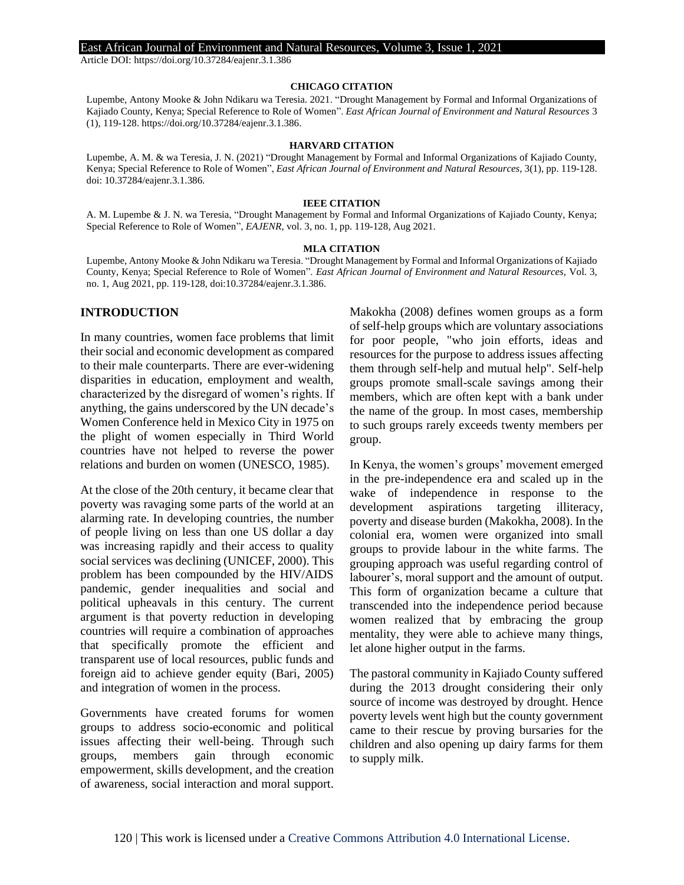Article DOI: https://doi.org/10.37284/eajenr.3.1.386

#### **CHICAGO CITATION**

Lupembe, Antony Mooke & John Ndikaru wa Teresia. 2021. "Drought Management by Formal and Informal Organizations of Kajiado County, Kenya; Special Reference to Role of Women". *East African Journal of Environment and Natural Resources* 3 (1), 119-128. https://doi.org/10.37284/eajenr.3.1.386.

#### **HARVARD CITATION**

Lupembe, A. M. & wa Teresia, J. N. (2021) "Drought Management by Formal and Informal Organizations of Kajiado County, Kenya; Special Reference to Role of Women", *East African Journal of Environment and Natural Resources*, 3(1), pp. 119-128. doi: 10.37284/eajenr.3.1.386.

#### **IEEE CITATION**

A. M. Lupembe & J. N. wa Teresia, "Drought Management by Formal and Informal Organizations of Kajiado County, Kenya; Special Reference to Role of Women", *EAJENR*, vol. 3, no. 1, pp. 119-128, Aug 2021.

#### **MLA CITATION**

Lupembe, Antony Mooke & John Ndikaru wa Teresia. "Drought Management by Formal and Informal Organizations of Kajiado County, Kenya; Special Reference to Role of Women". *East African Journal of Environment and Natural Resources*, Vol. 3, no. 1, Aug 2021, pp. 119-128, doi:10.37284/eajenr.3.1.386.

### **INTRODUCTION**

In many countries, women face problems that limit their social and economic development as compared to their male counterparts. There are ever-widening disparities in education, employment and wealth, characterized by the disregard of women's rights. If anything, the gains underscored by the UN decade's Women Conference held in Mexico City in 1975 on the plight of women especially in Third World countries have not helped to reverse the power relations and burden on women (UNESCO, 1985).

At the close of the 20th century, it became clear that poverty was ravaging some parts of the world at an alarming rate. In developing countries, the number of people living on less than one US dollar a day was increasing rapidly and their access to quality social services was declining (UNICEF, 2000). This problem has been compounded by the HIV/AIDS pandemic, gender inequalities and social and political upheavals in this century. The current argument is that poverty reduction in developing countries will require a combination of approaches that specifically promote the efficient and transparent use of local resources, public funds and foreign aid to achieve gender equity (Bari, 2005) and integration of women in the process.

Governments have created forums for women groups to address socio-economic and political issues affecting their well-being. Through such groups, members gain through economic empowerment, skills development, and the creation of awareness, social interaction and moral support.

Makokha (2008) defines women groups as a form of self-help groups which are voluntary associations for poor people, "who join efforts, ideas and resources for the purpose to address issues affecting them through self-help and mutual help". Self-help groups promote small-scale savings among their members, which are often kept with a bank under the name of the group. In most cases, membership to such groups rarely exceeds twenty members per group.

In Kenya, the women's groups' movement emerged in the pre-independence era and scaled up in the wake of independence in response to the development aspirations targeting illiteracy, poverty and disease burden (Makokha, 2008). In the colonial era, women were organized into small groups to provide labour in the white farms. The grouping approach was useful regarding control of labourer's, moral support and the amount of output. This form of organization became a culture that transcended into the independence period because women realized that by embracing the group mentality, they were able to achieve many things, let alone higher output in the farms.

The pastoral community in Kajiado County suffered during the 2013 drought considering their only source of income was destroyed by drought. Hence poverty levels went high but the county government came to their rescue by proving bursaries for the children and also opening up dairy farms for them to supply milk.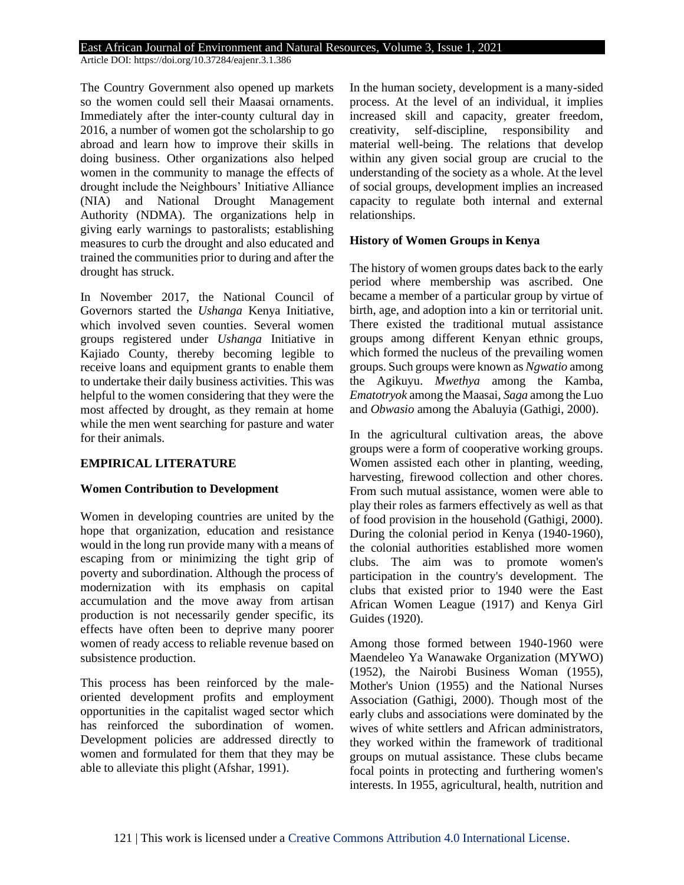Article DOI: https://doi.org/10.37284/eajenr.3.1.386

The Country Government also opened up markets so the women could sell their Maasai ornaments. Immediately after the inter-county cultural day in 2016, a number of women got the scholarship to go abroad and learn how to improve their skills in doing business. Other organizations also helped women in the community to manage the effects of drought include the Neighbours' Initiative Alliance (NIA) and National Drought Management Authority (NDMA). The organizations help in giving early warnings to pastoralists; establishing measures to curb the drought and also educated and trained the communities prior to during and after the drought has struck.

In November 2017, the National Council of Governors started the *Ushanga* Kenya Initiative, which involved seven counties. Several women groups registered under *Ushanga* Initiative in Kajiado County, thereby becoming legible to receive loans and equipment grants to enable them to undertake their daily business activities. This was helpful to the women considering that they were the most affected by drought, as they remain at home while the men went searching for pasture and water for their animals.

### **EMPIRICAL LITERATURE**

### **Women Contribution to Development**

Women in developing countries are united by the hope that organization, education and resistance would in the long run provide many with a means of escaping from or minimizing the tight grip of poverty and subordination. Although the process of modernization with its emphasis on capital accumulation and the move away from artisan production is not necessarily gender specific, its effects have often been to deprive many poorer women of ready access to reliable revenue based on subsistence production.

This process has been reinforced by the maleoriented development profits and employment opportunities in the capitalist waged sector which has reinforced the subordination of women. Development policies are addressed directly to women and formulated for them that they may be able to alleviate this plight (Afshar, 1991).

In the human society, development is a many-sided process. At the level of an individual, it implies increased skill and capacity, greater freedom, creativity, self-discipline, responsibility and material well-being. The relations that develop within any given social group are crucial to the understanding of the society as a whole. At the level of social groups, development implies an increased capacity to regulate both internal and external relationships.

### **History of Women Groups in Kenya**

The history of women groups dates back to the early period where membership was ascribed. One became a member of a particular group by virtue of birth, age, and adoption into a kin or territorial unit. There existed the traditional mutual assistance groups among different Kenyan ethnic groups, which formed the nucleus of the prevailing women groups. Such groups were known as *Ngwatio* among the Agikuyu. *Mwethya* among the Kamba, *Ematotryok* among the Maasai, *Saga* among the Luo and *Obwasio* among the Abaluyia (Gathigi, 2000).

In the agricultural cultivation areas, the above groups were a form of cooperative working groups. Women assisted each other in planting, weeding, harvesting, firewood collection and other chores. From such mutual assistance, women were able to play their roles as farmers effectively as well as that of food provision in the household (Gathigi, 2000). During the colonial period in Kenya (1940-1960), the colonial authorities established more women clubs. The aim was to promote women's participation in the country's development. The clubs that existed prior to 1940 were the East African Women League (1917) and Kenya Girl Guides (1920).

Among those formed between 1940-1960 were Maendeleo Ya Wanawake Organization (MYWO) (1952), the Nairobi Business Woman (1955), Mother's Union (1955) and the National Nurses Association (Gathigi, 2000). Though most of the early clubs and associations were dominated by the wives of white settlers and African administrators, they worked within the framework of traditional groups on mutual assistance. These clubs became focal points in protecting and furthering women's interests. In 1955, agricultural, health, nutrition and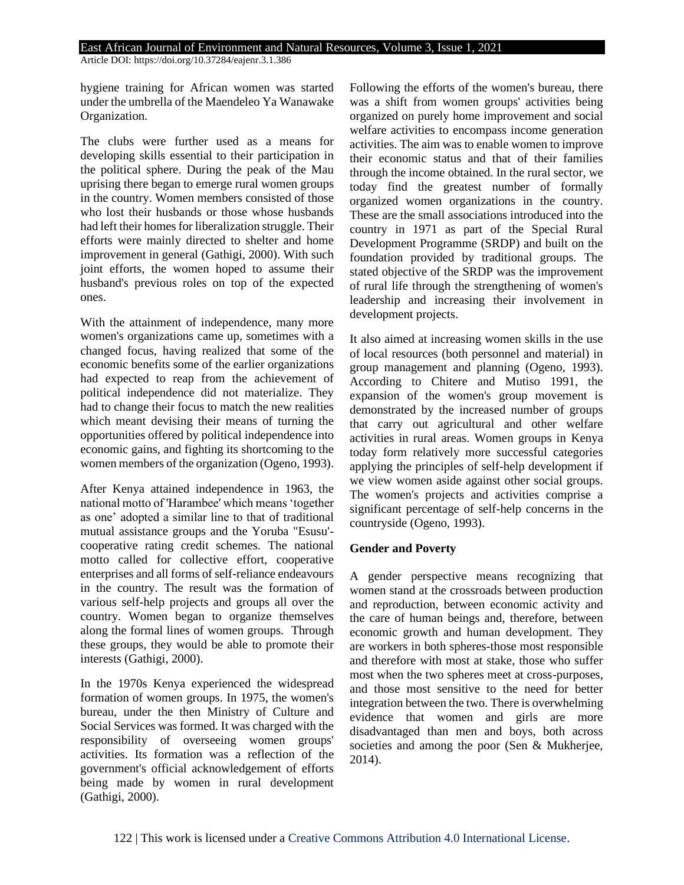Article DOI: https://doi.org/10.37284/eajenr.3.1.386

hygiene training for African women was started under the umbrella of the Maendeleo Ya Wanawake Organization.

The clubs were further used as a means for developing skills essential to their participation in the political sphere. During the peak of the Mau uprising there began to emerge rural women groups in the country. Women members consisted of those who lost their husbands or those whose husbands had left their homes for liberalization struggle. Their efforts were mainly directed to shelter and home improvement in general (Gathigi, 2000). With such joint efforts, the women hoped to assume their husband's previous roles on top of the expected ones.

With the attainment of independence, many more women's organizations came up, sometimes with a changed focus, having realized that some of the economic benefits some of the earlier organizations had expected to reap from the achievement of political independence did not materialize. They had to change their focus to match the new realities which meant devising their means of turning the opportunities offered by political independence into economic gains, and fighting its shortcoming to the women members of the organization (Ogeno, 1993).

After Kenya attained independence in 1963, the national motto of 'Harambee' which means 'together as one' adopted a similar line to that of traditional mutual assistance groups and the Yoruba "Esusu' cooperative rating credit schemes. The national motto called for collective effort, cooperative enterprises and all forms of self-reliance endeavours in the country. The result was the formation of various self-help projects and groups all over the country. Women began to organize themselves along the formal lines of women groups. Through these groups, they would be able to promote their interests (Gathigi, 2000).

In the 1970s Kenya experienced the widespread formation of women groups. In 1975, the women's bureau, under the then Ministry of Culture and Social Services was formed. It was charged with the responsibility of overseeing women groups' activities. Its formation was a reflection of the government's official acknowledgement of efforts being made by women in rural development (Gathigi, 2000).

Following the efforts of the women's bureau, there was a shift from women groups' activities being organized on purely home improvement and social welfare activities to encompass income generation activities. The aim was to enable women to improve their economic status and that of their families through the income obtained. In the rural sector, we today find the greatest number of formally organized women organizations in the country. These are the small associations introduced into the country in 1971 as part of the Special Rural Development Programme (SRDP) and built on the foundation provided by traditional groups. The stated objective of the SRDP was the improvement of rural life through the strengthening of women's leadership and increasing their involvement in development projects.

It also aimed at increasing women skills in the use of local resources (both personnel and material) in group management and planning (Ogeno, 1993). According to Chitere and Mutiso 1991, the expansion of the women's group movement is demonstrated by the increased number of groups that carry out agricultural and other welfare activities in rural areas. Women groups in Kenya today form relatively more successful categories applying the principles of self-help development if we view women aside against other social groups. The women's projects and activities comprise a significant percentage of self-help concerns in the countryside (Ogeno, 1993).

### **Gender and Poverty**

A gender perspective means recognizing that women stand at the crossroads between production and reproduction, between economic activity and the care of human beings and, therefore, between economic growth and human development. They are workers in both spheres-those most responsible and therefore with most at stake, those who suffer most when the two spheres meet at cross-purposes, and those most sensitive to the need for better integration between the two. There is overwhelming evidence that women and girls are more disadvantaged than men and boys, both across societies and among the poor (Sen & Mukherjee, 2014).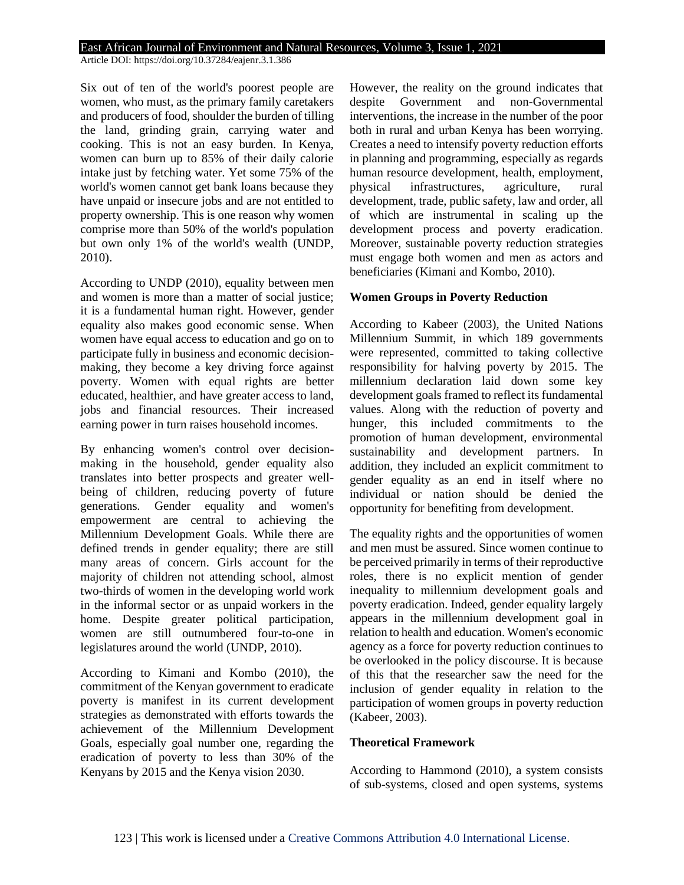Article DOI: https://doi.org/10.37284/eajenr.3.1.386

Six out of ten of the world's poorest people are women, who must, as the primary family caretakers and producers of food, shoulder the burden of tilling the land, grinding grain, carrying water and cooking. This is not an easy burden. In Kenya, women can burn up to 85% of their daily calorie intake just by fetching water. Yet some 75% of the world's women cannot get bank loans because they have unpaid or insecure jobs and are not entitled to property ownership. This is one reason why women comprise more than 50% of the world's population but own only 1% of the world's wealth (UNDP, 2010).

According to UNDP (2010), equality between men and women is more than a matter of social justice; it is a fundamental human right. However, gender equality also makes good economic sense. When women have equal access to education and go on to participate fully in business and economic decisionmaking, they become a key driving force against poverty. Women with equal rights are better educated, healthier, and have greater access to land, jobs and financial resources. Their increased earning power in turn raises household incomes.

By enhancing women's control over decisionmaking in the household, gender equality also translates into better prospects and greater wellbeing of children, reducing poverty of future generations. Gender equality and women's empowerment are central to achieving the Millennium Development Goals. While there are defined trends in gender equality; there are still many areas of concern. Girls account for the majority of children not attending school, almost two-thirds of women in the developing world work in the informal sector or as unpaid workers in the home. Despite greater political participation, women are still outnumbered four-to-one in legislatures around the world (UNDP, 2010).

According to Kimani and Kombo (2010), the commitment of the Kenyan government to eradicate poverty is manifest in its current development strategies as demonstrated with efforts towards the achievement of the Millennium Development Goals, especially goal number one, regarding the eradication of poverty to less than 30% of the Kenyans by 2015 and the Kenya vision 2030.

However, the reality on the ground indicates that despite Government and non-Governmental interventions, the increase in the number of the poor both in rural and urban Kenya has been worrying. Creates a need to intensify poverty reduction efforts in planning and programming, especially as regards human resource development, health, employment, physical infrastructures, agriculture, rural development, trade, public safety, law and order, all of which are instrumental in scaling up the development process and poverty eradication. Moreover, sustainable poverty reduction strategies must engage both women and men as actors and beneficiaries (Kimani and Kombo, 2010).

### **Women Groups in Poverty Reduction**

According to Kabeer (2003), the United Nations Millennium Summit, in which 189 governments were represented, committed to taking collective responsibility for halving poverty by 2015. The millennium declaration laid down some key development goals framed to reflect its fundamental values. Along with the reduction of poverty and hunger, this included commitments to the promotion of human development, environmental sustainability and development partners. In addition, they included an explicit commitment to gender equality as an end in itself where no individual or nation should be denied the opportunity for benefiting from development.

The equality rights and the opportunities of women and men must be assured. Since women continue to be perceived primarily in terms of their reproductive roles, there is no explicit mention of gender inequality to millennium development goals and poverty eradication. Indeed, gender equality largely appears in the millennium development goal in relation to health and education. Women's economic agency as a force for poverty reduction continues to be overlooked in the policy discourse. It is because of this that the researcher saw the need for the inclusion of gender equality in relation to the participation of women groups in poverty reduction (Kabeer, 2003).

### **Theoretical Framework**

According to Hammond (2010), a system consists of sub-systems, closed and open systems, systems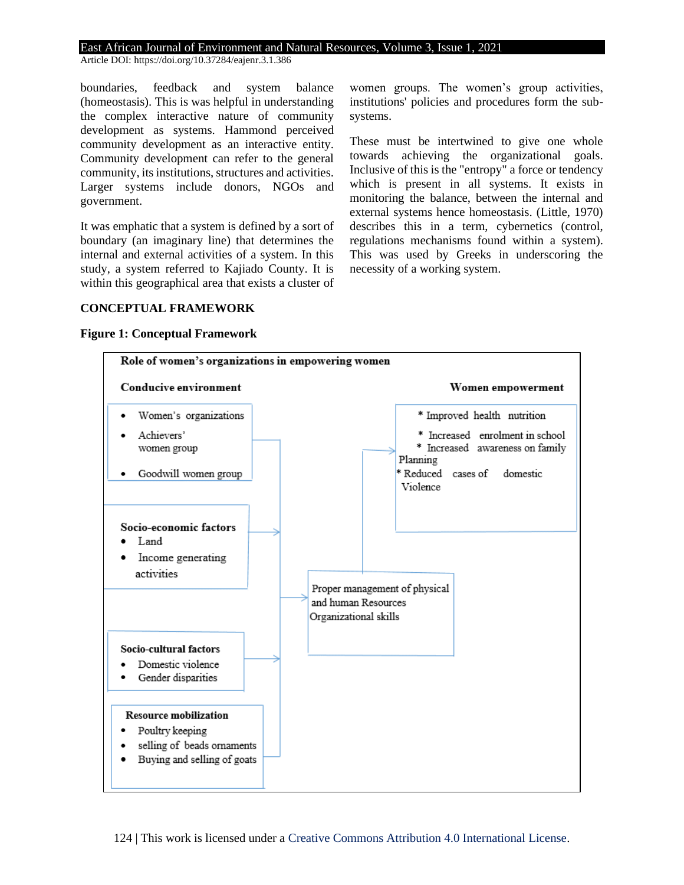Article DOI: https://doi.org/10.37284/eajenr.3.1.386

boundaries, feedback and system balance (homeostasis). This is was helpful in understanding the complex interactive nature of community development as systems. Hammond perceived community development as an interactive entity. Community development can refer to the general community, its institutions, structures and activities. Larger systems include donors, NGOs and government.

It was emphatic that a system is defined by a sort of boundary (an imaginary line) that determines the internal and external activities of a system. In this study, a system referred to Kajiado County. It is within this geographical area that exists a cluster of women groups. The women's group activities, institutions' policies and procedures form the subsystems.

These must be intertwined to give one whole towards achieving the organizational goals. Inclusive of this is the "entropy" a force or tendency which is present in all systems. It exists in monitoring the balance, between the internal and external systems hence homeostasis. (Little, 1970) describes this in a term, cybernetics (control, regulations mechanisms found within a system). This was used by Greeks in underscoring the necessity of a working system.

### **CONCEPTUAL FRAMEWORK**

#### **Figure 1: Conceptual Framework**

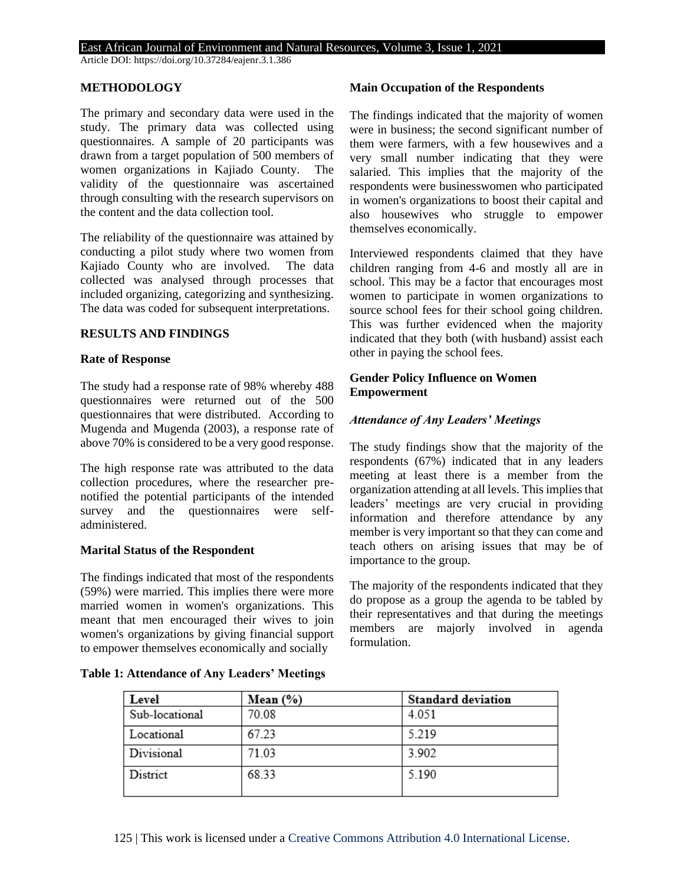Article DOI: https://doi.org/10.37284/eajenr.3.1.386

#### **METHODOLOGY**

The primary and secondary data were used in the study. The primary data was collected using questionnaires. A sample of 20 participants was drawn from a target population of 500 members of women organizations in Kajiado County. The validity of the questionnaire was ascertained through consulting with the research supervisors on the content and the data collection tool.

The reliability of the questionnaire was attained by conducting a pilot study where two women from Kajiado County who are involved. The data collected was analysed through processes that included organizing, categorizing and synthesizing. The data was coded for subsequent interpretations.

### **RESULTS AND FINDINGS**

#### **Rate of Response**

The study had a response rate of 98% whereby 488 questionnaires were returned out of the 500 questionnaires that were distributed. According to Mugenda and Mugenda (2003), a response rate of above 70% is considered to be a very good response.

The high response rate was attributed to the data collection procedures, where the researcher prenotified the potential participants of the intended survey and the questionnaires were selfadministered.

#### **Marital Status of the Respondent**

The findings indicated that most of the respondents (59%) were married. This implies there were more married women in women's organizations. This meant that men encouraged their wives to join women's organizations by giving financial support to empower themselves economically and socially

#### **Table 1: Attendance of Any Leaders' Meetings**

### **Main Occupation of the Respondents**

The findings indicated that the majority of women were in business; the second significant number of them were farmers, with a few housewives and a very small number indicating that they were salaried. This implies that the majority of the respondents were businesswomen who participated in women's organizations to boost their capital and also housewives who struggle to empower themselves economically.

Interviewed respondents claimed that they have children ranging from 4-6 and mostly all are in school. This may be a factor that encourages most women to participate in women organizations to source school fees for their school going children. This was further evidenced when the majority indicated that they both (with husband) assist each other in paying the school fees.

### **Gender Policy Influence on Women Empowerment**

### *Attendance of Any Leaders' Meetings*

The study findings show that the majority of the respondents (67%) indicated that in any leaders meeting at least there is a member from the organization attending at all levels. This implies that leaders' meetings are very crucial in providing information and therefore attendance by any member is very important so that they can come and teach others on arising issues that may be of importance to the group.

The majority of the respondents indicated that they do propose as a group the agenda to be tabled by their representatives and that during the meetings members are majorly involved in agenda formulation.

| Level          | Mean $(\% )$ | <b>Standard deviation</b> |
|----------------|--------------|---------------------------|
| Sub-locational | 70.08        | 4.051                     |
| Locational     | 67.23        | 5.219                     |
| Divisional     | 71.03        | 3.902                     |
| District       | 68.33        | 5.190                     |

125 | This work is licensed under a [Creative Commons Attribution 4.0 International License.](http://creativecommons.org/licenses/by/4.0/)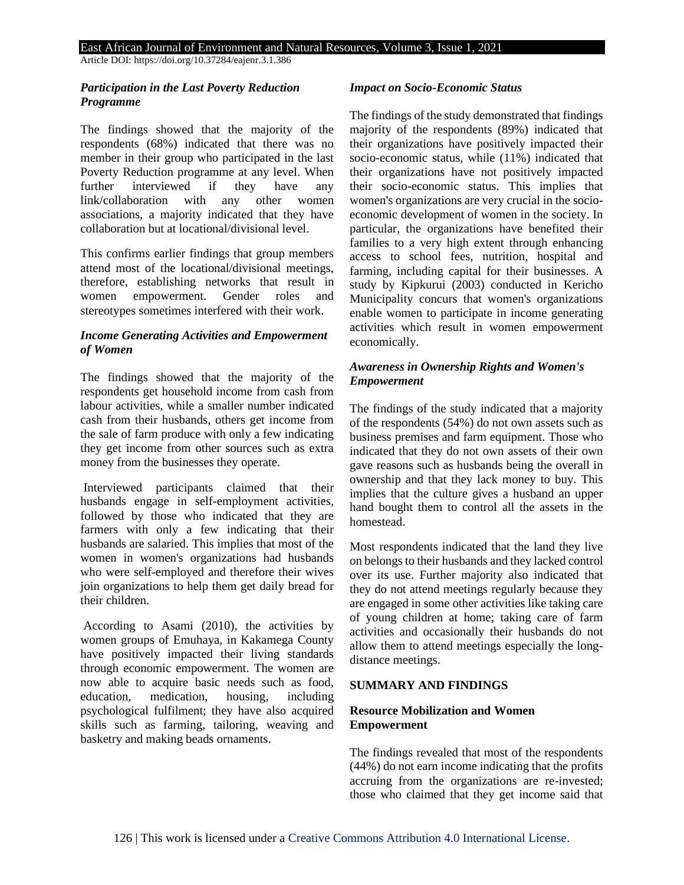Article DOI: https://doi.org/10.37284/eajenr.3.1.386

# *Participation in the Last Poverty Reduction Programme*

The findings showed that the majority of the respondents (68%) indicated that there was no member in their group who participated in the last Poverty Reduction programme at any level. When further interviewed if they have any link/collaboration with any other women associations, a majority indicated that they have collaboration but at locational/divisional level.

This confirms earlier findings that group members attend most of the locational/divisional meetings, therefore, establishing networks that result in women empowerment. Gender roles and stereotypes sometimes interfered with their work.

# *Income Generating Activities and Empowerment of Women*

The findings showed that the majority of the respondents get household income from cash from labour activities, while a smaller number indicated cash from their husbands, others get income from the sale of farm produce with only a few indicating they get income from other sources such as extra money from the businesses they operate.

Interviewed participants claimed that their husbands engage in self-employment activities, followed by those who indicated that they are farmers with only a few indicating that their husbands are salaried. This implies that most of the women in women's organizations had husbands who were self-employed and therefore their wives join organizations to help them get daily bread for their children.

According to Asami (2010), the activities by women groups of Emuhaya, in Kakamega County have positively impacted their living standards through economic empowerment. The women are now able to acquire basic needs such as food, education, medication, housing, including psychological fulfilment; they have also acquired skills such as farming, tailoring, weaving and basketry and making beads ornaments.

### *Impact on Socio-Economic Status*

The findings of the study demonstrated that findings majority of the respondents (89%) indicated that their organizations have positively impacted their socio-economic status, while (11%) indicated that their organizations have not positively impacted their socio-economic status. This implies that women's organizations are very crucial in the socioeconomic development of women in the society. In particular, the organizations have benefited their families to a very high extent through enhancing access to school fees, nutrition, hospital and farming, including capital for their businesses. A study by Kipkurui (2003) conducted in Kericho Municipality concurs that women's organizations enable women to participate in income generating activities which result in women empowerment economically.

# *Awareness in Ownership Rights and Women's Empowerment*

The findings of the study indicated that a majority of the respondents (54%) do not own assets such as business premises and farm equipment. Those who indicated that they do not own assets of their own gave reasons such as husbands being the overall in ownership and that they lack money to buy. This implies that the culture gives a husband an upper hand bought them to control all the assets in the homestead.

Most respondents indicated that the land they live on belongs to their husbands and they lacked control over its use. Further majority also indicated that they do not attend meetings regularly because they are engaged in some other activities like taking care of young children at home; taking care of farm activities and occasionally their husbands do not allow them to attend meetings especially the longdistance meetings.

### **SUMMARY AND FINDINGS**

# **Resource Mobilization and Women Empowerment**

The findings revealed that most of the respondents (44%) do not earn income indicating that the profits accruing from the organizations are re-invested; those who claimed that they get income said that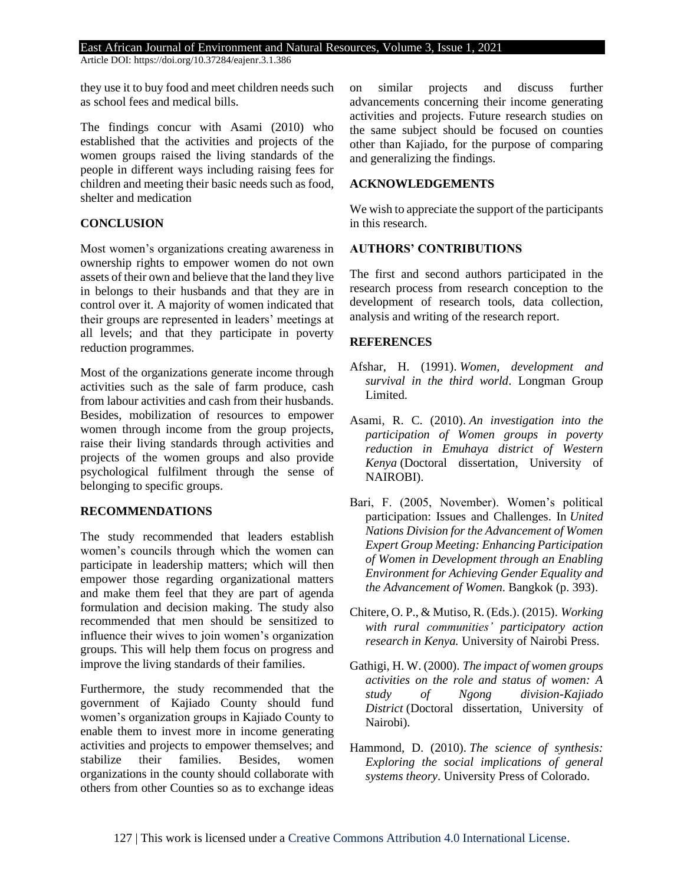Article DOI: https://doi.org/10.37284/eajenr.3.1.386

they use it to buy food and meet children needs such as school fees and medical bills.

The findings concur with Asami (2010) who established that the activities and projects of the women groups raised the living standards of the people in different ways including raising fees for children and meeting their basic needs such as food, shelter and medication

# **CONCLUSION**

Most women's organizations creating awareness in ownership rights to empower women do not own assets of their own and believe that the land they live in belongs to their husbands and that they are in control over it. A majority of women indicated that their groups are represented in leaders' meetings at all levels; and that they participate in poverty reduction programmes.

Most of the organizations generate income through activities such as the sale of farm produce, cash from labour activities and cash from their husbands. Besides, mobilization of resources to empower women through income from the group projects, raise their living standards through activities and projects of the women groups and also provide psychological fulfilment through the sense of belonging to specific groups.

### **RECOMMENDATIONS**

The study recommended that leaders establish women's councils through which the women can participate in leadership matters; which will then empower those regarding organizational matters and make them feel that they are part of agenda formulation and decision making. The study also recommended that men should be sensitized to influence their wives to join women's organization groups. This will help them focus on progress and improve the living standards of their families.

Furthermore, the study recommended that the government of Kajiado County should fund women's organization groups in Kajiado County to enable them to invest more in income generating activities and projects to empower themselves; and stabilize their families. Besides women organizations in the county should collaborate with others from other Counties so as to exchange ideas

on similar projects and discuss further advancements concerning their income generating activities and projects. Future research studies on the same subject should be focused on counties other than Kajiado, for the purpose of comparing and generalizing the findings.

### **ACKNOWLEDGEMENTS**

We wish to appreciate the support of the participants in this research.

### **AUTHORS' CONTRIBUTIONS**

The first and second authors participated in the research process from research conception to the development of research tools, data collection, analysis and writing of the research report.

### **REFERENCES**

- Afshar, H. (1991). *Women, development and survival in the third world*. Longman Group Limited.
- Asami, R. C. (2010). *An investigation into the participation of Women groups in poverty reduction in Emuhaya district of Western Kenya* (Doctoral dissertation, University of NAIROBI).
- Bari, F. (2005, November). Women's political participation: Issues and Challenges. In *United Nations Division for the Advancement of Women Expert Group Meeting: Enhancing Participation of Women in Development through an Enabling Environment for Achieving Gender Equality and the Advancement of Women*. Bangkok (p. 393).
- Chitere, O. P., & Mutiso, R. (Eds.). (2015). *Working with rural communities' participatory action research in Kenya.* University of Nairobi Press.
- Gathigi, H. W. (2000). *The impact of women groups activities on the role and status of women: A study of Ngong division-Kajiado District* (Doctoral dissertation, University of Nairobi).
- Hammond, D. (2010). *The science of synthesis: Exploring the social implications of general systems theory*. University Press of Colorado.